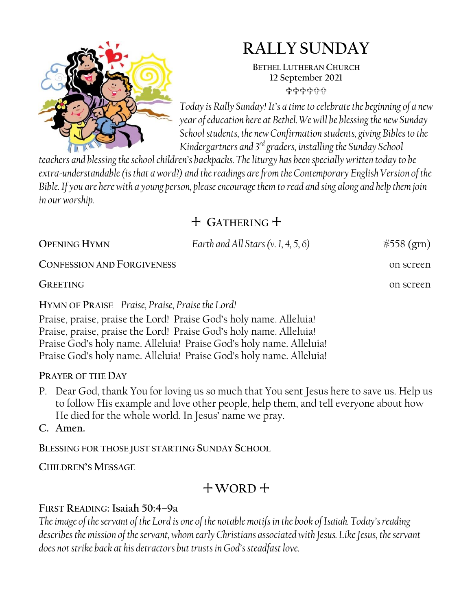

# **RALLY SUNDAY**

**BETHEL LUTHERAN CHURCH 12 September 2021** 유유유유유유

*Today is Rally Sunday! It's a time to celebrate the beginning of a new year of education here at Bethel. We will be blessing the new Sunday School students, the new Confirmation students, giving Bibles to the Kindergartners and 3rd graders, installing the Sunday School* 

*teachers and blessing the school children's backpacks. The liturgy has been specially written today to be extra-understandable (is that a word?) and the readings are from the Contemporary English Version of the Bible. If you are here with a young person, please encourage them to read and sing along and help them join in our worship.*

# + **GATHERING** +

| <b>OPENING HYMN</b>                                                 | Earth and All Stars $(v. 1, 4, 5, 6)$ | #558 (grn) |  |
|---------------------------------------------------------------------|---------------------------------------|------------|--|
| <b>CONFESSION AND FORGIVENESS</b>                                   |                                       | on screen  |  |
| <b>GREETING</b>                                                     |                                       | on screen  |  |
| HYMN OF PRAISE Praise, Praise, Praise the Lord!                     |                                       |            |  |
| Praise, praise, praise the Lord! Praise God's holy name. Alleluia!  |                                       |            |  |
| Praise, praise, praise the Lord! Praise God's holy name. Alleluia!  |                                       |            |  |
| Praise God's holy name. Alleluia! Praise God's holy name. Alleluia! |                                       |            |  |
| Praise God's holy name. Alleluia! Praise God's holy name. Alleluia! |                                       |            |  |

# **PRAYER OF THE DAY**

- P. Dear God, thank You for loving us so much that You sent Jesus here to save us. Help us to follow His example and love other people, help them, and tell everyone about how He died for the whole world. In Jesus' name we pray.
- **C. Amen.**

**BLESSING FOR THOSE JUST STARTING SUNDAY SCHOOL**

**CHILDREN'S MESSAGE**

# + **WORD** +

# **FIRST READING: Isaiah 50:4–9a**

*The image of the servant of the Lord is one of the notable motifs in the book of Isaiah. Today's reading describes the mission of the servant, whom early Christians associated with Jesus. Like Jesus, the servant does not strike back at his detractors but trusts in God's steadfast love.*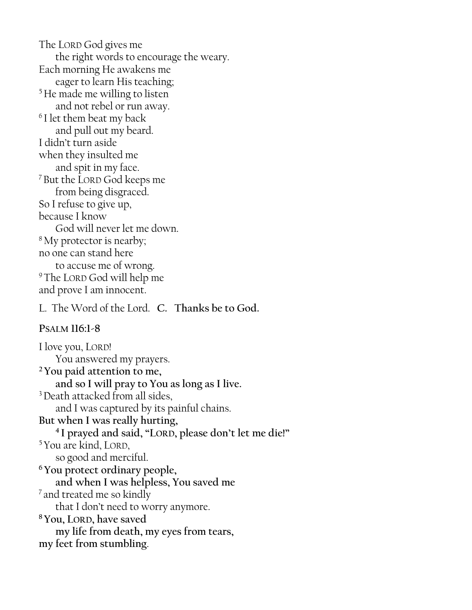The LORD God gives me the right words to encourage the weary. Each morning He awakens me eager to learn His teaching; <sup>5</sup>He made me willing to listen and not rebel or run away. <sup>6</sup>I let them beat my back and pull out my beard. I didn't turn aside when they insulted me and spit in my face. <sup>7</sup>But the LORD God keeps me from being disgraced. So I refuse to give up, because I know God will never let me down. <sup>8</sup>My protector is nearby; no one can stand here to accuse me of wrong. <sup>9</sup>The LORD God will help me and prove I am innocent.

L. The Word of the Lord. **C. Thanks be to God.**

#### **PSALM 116:1-8**

I love you, LORD! You answered my prayers. **<sup>2</sup>You paid attention to me, and so I will pray to You as long as I live.** <sup>3</sup> Death attacked from all sides, and I was captured by its painful chains. **But when I was really hurting, 4 I prayed and said, "LORD, please don't let me die!"** <sup>5</sup>You are kind, LORD, so good and merciful. **<sup>6</sup>You protect ordinary people, and when I was helpless, You saved me**  $\frac{7}{7}$  and treated me so kindly that I don't need to worry anymore. **<sup>8</sup>You, LORD, have saved my life from death, my eyes from tears, my feet from stumbling**.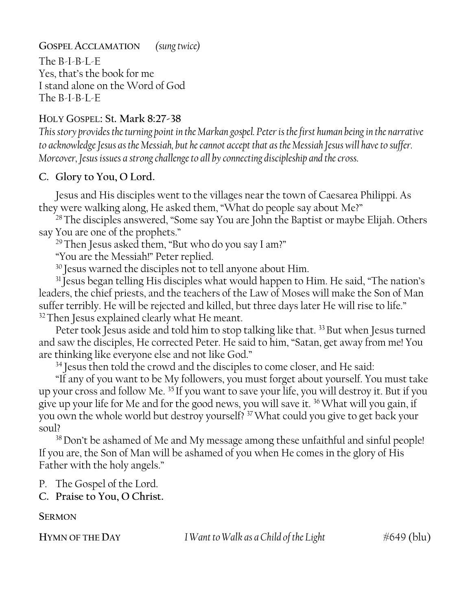**GOSPEL ACCLAMATION** *(sung twice)*

The B-I-B-L-E Yes, that's the book for me I stand alone on the Word of God The B-I-B-L-E

### HOLY GOSPEL: St. **Mark 8:27-38**

*This story provides the turning point in the Markan gospel. Peter is the first human being in the narrative to acknowledge Jesus as the Messiah, but he cannot accept that as the Messiah Jesus will have to suffer. Moreover, Jesus issues a strong challenge to all by connecting discipleship and the cross.*

# **C. Glory to You, O Lord.**

Jesus and His disciples went to the villages near the town of Caesarea Philippi. As they were walking along, He asked them, "What do people say about Me?"

<sup>28</sup>The disciples answered, "Some say You are John the Baptist or maybe Elijah. Others say You are one of the prophets."

<sup>29</sup> Then Jesus asked them, "But who do you say I am?"

"You are the Messiah!" Peter replied.

<sup>30</sup> Jesus warned the disciples not to tell anyone about Him.

<sup>31</sup> Jesus began telling His disciples what would happen to Him. He said, "The nation's leaders, the chief priests, and the teachers of the Law of Moses will make the Son of Man suffer terribly. He will be rejected and killed, but three days later He will rise to life." <sup>32</sup> Then Jesus explained clearly what He meant.

Peter took Jesus aside and told him to stop talking like that.<sup>33</sup> But when Jesus turned and saw the disciples, He corrected Peter. He said to him, "Satan, get away from me! You are thinking like everyone else and not like God."

<sup>34</sup> Jesus then told the crowd and the disciples to come closer, and He said:

"If any of you want to be My followers, you must forget about yourself. You must take up your cross and follow Me. <sup>35</sup> If you want to save your life, you will destroy it. But if you give up your life for Me and for the good news, you will save it. <sup>36</sup>What will you gain, if you own the whole world but destroy yourself? <sup>37</sup>What could you give to get back your soul?

<sup>38</sup>Don't be ashamed of Me and My message among these unfaithful and sinful people! If you are, the Son of Man will be ashamed of you when He comes in the glory of His Father with the holy angels."

P. The Gospel of the Lord.

**C. Praise to You, O Christ.**

**SERMON**

**H**YMN OF THE DAY I Want to Walk as a Child of the Light  $\#649$  (blu)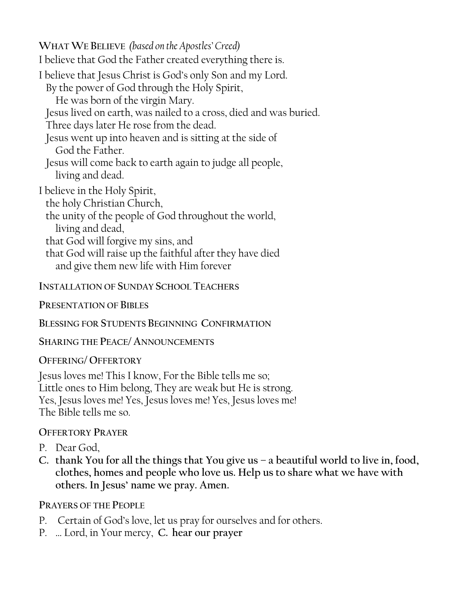**WHAT WE BELIEVE** *(based on the Apostles' Creed)* I believe that God the Father created everything there is. I believe that Jesus Christ is God's only Son and my Lord. By the power of God through the Holy Spirit, He was born of the virgin Mary. Jesus lived on earth, was nailed to a cross, died and was buried. Three days later He rose from the dead. Jesus went up into heaven and is sitting at the side of God the Father. Jesus will come back to earth again to judge all people, living and dead. I believe in the Holy Spirit, the holy Christian Church, the unity of the people of God throughout the world, living and dead, that God will forgive my sins, and that God will raise up the faithful after they have died and give them new life with Him forever

**INSTALLATION OF SUNDAY SCHOOL TEACHERS**

**PRESENTATION OF BIBLES**

**BLESSING FOR STUDENTS BEGINNING CONFIRMATION** 

**SHARING THE PEACE/ANNOUNCEMENTS**

**OFFERING/ OFFERTORY**

Jesus loves me! This I know, For the Bible tells me so; Little ones to Him belong, They are weak but He is strong. Yes, Jesus loves me! Yes, Jesus loves me! Yes, Jesus loves me! The Bible tells me so.

# **OFFERTORY PRAYER**

- P. Dear God,
- **C. thank You for all the things that You give us – a beautiful world to live in, food, clothes, homes and people who love us. Help us to share what we have with others. In Jesus' name we pray. Amen.**

**PRAYERS OF THE PEOPLE**

- P. Certain of God's love, let us pray for ourselves and for others.
- P. … Lord, in Your mercy, **C. hear our prayer**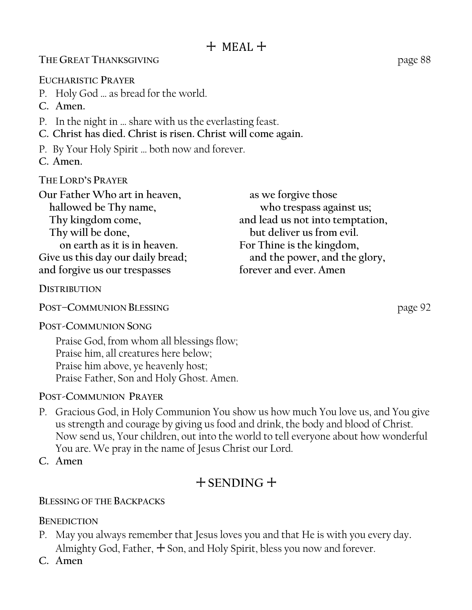#### **THE GREAT THANKSGIVING** page 88

**EUCHARISTIC PRAYER**

- P. Holy God … as bread for the world.
- **C. Amen.**
- P. In the night in … share with us the everlasting feast.
- **C. Christ has died. Christ is risen. Christ will come again.**
- P. By Your Holy Spirit … both now and forever.
- **C. Amen.**

**THE LORD'S PRAYER**

| Our Father Who art in heaven,     | as we forgive those              |
|-----------------------------------|----------------------------------|
| hallowed be Thy name,             | who trespass against us;         |
| Thy kingdom come,                 | and lead us not into temptation, |
| Thy will be done,                 | but deliver us from evil.        |
| on earth as it is in heaven.      | For Thine is the kingdom,        |
| Give us this day our daily bread; | and the power, and the glory,    |
| and forgive us our trespasses     | forever and ever. Amen           |

#### **DISTRIBUTION**

**POST–COMMUNION BLESSING** page 92

**POST-COMMUNION SONG**

Praise God, from whom all blessings flow; Praise him, all creatures here below; Praise him above, ye heavenly host; Praise Father, Son and Holy Ghost. Amen.

#### **POST-COMMUNION PRAYER**

P. Gracious God, in Holy Communion You show us how much You love us, and You give us strength and courage by giving us food and drink, the body and blood of Christ. Now send us, Your children, out into the world to tell everyone about how wonderful You are. We pray in the name of Jesus Christ our Lord.

**C. Amen**

# + **SENDING** +

#### **BLESSING OF THE BACKPACKS**

#### **BENEDICTION**

- P. May you always remember that Jesus loves you and that He is with you every day. Almighty God, Father,  $+$  Son, and Holy Spirit, bless you now and forever.
- **C. Amen**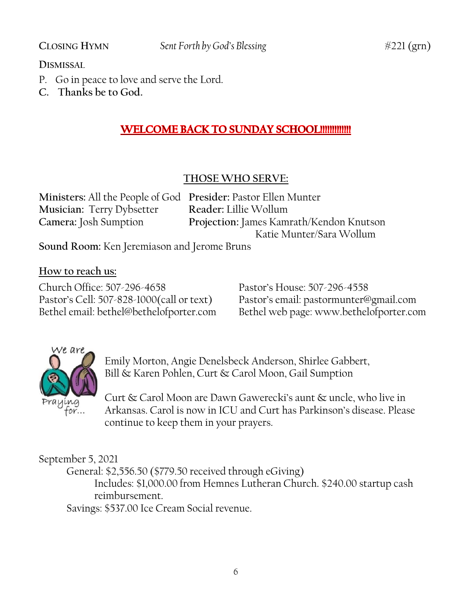#### **DISMISSAL**

- P. Go in peace to love and serve the Lord.
- **C. Thanks be to God.**

# **WELCOME BACK TO SUNDAY SCHOOL!!!!!!!!!!!!!!**

# **THOSE WHO SERVE:**

| Ministers: All the People of God Presider: Pastor Ellen Munter |                                          |
|----------------------------------------------------------------|------------------------------------------|
| <b>Musician: Terry Dybsetter</b>                               | Reader: Lillie Wollum                    |
| Camera: Josh Sumption                                          | Projection: James Kamrath/Kendon Knutson |
|                                                                | Katie Munter/Sara Wollum                 |
| Sound Room: Ken Jeremiason and Jerome Bruns                    |                                          |

**How to reach us:**

Church Office: 507-296-4658 Pastor's House: 507-296-4558

Pastor's Cell: 507-828-1000(call or text) Pastor's email: pastormunter@gmail.com Bethel web page: www.bethelofporter.com



Emily Morton, Angie Denelsbeck Anderson, Shirlee Gabbert, Bill & Karen Pohlen, Curt & Carol Moon, Gail Sumption

Curt & Carol Moon are Dawn Gawerecki's aunt & uncle, who live in Arkansas. Carol is now in ICU and Curt has Parkinson's disease. Please continue to keep them in your prayers.

September 5, 2021

General: \$2,556.50 (\$779.50 received through eGiving)

Includes: \$1,000.00 from Hemnes Lutheran Church. \$240.00 startup cash reimbursement.

Savings: \$537.00 Ice Cream Social revenue.